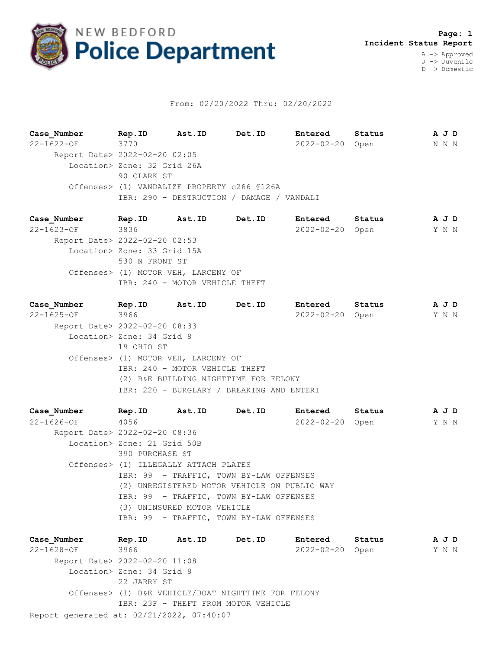

## From: 02/20/2022 Thru: 02/20/2022

**Case\_Number Rep.ID Ast.ID Det.ID Entered Status A J D** 22-1622-OF 3770 2022-02-20 Open N N N Report Date> 2022-02-20 02:05 Location> Zone: 32 Grid 26A 90 CLARK ST Offenses> (1) VANDALIZE PROPERTY c266 §126A IBR: 290 - DESTRUCTION / DAMAGE / VANDALI

**Case\_Number Rep.ID Ast.ID Det.ID Entered Status A J D** 22-1623-OF 3836 2022-02-20 Open Y N N Report Date> 2022-02-20 02:53 Location> Zone: 33 Grid 15A 530 N FRONT ST Offenses> (1) MOTOR VEH, LARCENY OF IBR: 240 - MOTOR VEHICLE THEFT

**Case\_Number Rep.ID Ast.ID Det.ID Entered Status A J D** 22-1625-OF 3966 2022-02-20 Open Y N N Report Date> 2022-02-20 08:33 Location> Zone: 34 Grid 8 19 OHIO ST Offenses> (1) MOTOR VEH, LARCENY OF IBR: 240 - MOTOR VEHICLE THEFT (2) B&E BUILDING NIGHTTIME FOR FELONY IBR: 220 - BURGLARY / BREAKING AND ENTERI

**Case\_Number Rep.ID Ast.ID Det.ID Entered Status A J D** 22-1626-OF 4056 2022-02-20 Open Y N N Report Date> 2022-02-20 08:36 Location> Zone: 21 Grid 50B 390 PURCHASE ST Offenses> (1) ILLEGALLY ATTACH PLATES IBR: 99 - TRAFFIC, TOWN BY-LAW OFFENSES (2) UNREGISTERED MOTOR VEHICLE ON PUBLIC WAY IBR: 99 - TRAFFIC, TOWN BY-LAW OFFENSES (3) UNINSURED MOTOR VEHICLE IBR: 99 - TRAFFIC, TOWN BY-LAW OFFENSES

Report generated at: 02/21/2022, 07:40:07 **Case\_Number Rep.ID Ast.ID Det.ID Entered Status A J D** 22-1628-OF 3966 2022-02-20 Open Y N N Report Date> 2022-02-20 11:08 Location> Zone: 34 Grid 8 22 JARRY ST Offenses> (1) B&E VEHICLE/BOAT NIGHTTIME FOR FELONY IBR: 23F - THEFT FROM MOTOR VEHICLE